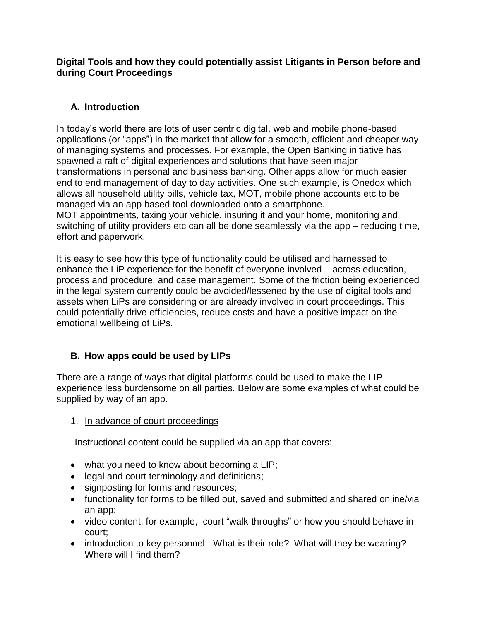**Digital Tools and how they could potentially assist Litigants in Person before and during Court Proceedings**

## **A. Introduction**

In today's world there are lots of user centric digital, web and mobile phone-based applications (or "apps") in the market that allow for a smooth, efficient and cheaper way of managing systems and processes. For example, the Open Banking initiative has spawned a raft of digital experiences and solutions that have seen major transformations in personal and business banking. Other apps allow for much easier end to end management of day to day activities. One such example, is Onedox which allows all household utility bills, vehicle tax, MOT, mobile phone accounts etc to be managed via an app based tool downloaded onto a smartphone. MOT appointments, taxing your vehicle, insuring it and your home, monitoring and switching of utility providers etc can all be done seamlessly via the app – reducing time, effort and paperwork.

It is easy to see how this type of functionality could be utilised and harnessed to enhance the LiP experience for the benefit of everyone involved – across education, process and procedure, and case management. Some of the friction being experienced in the legal system currently could be avoided/lessened by the use of digital tools and assets when LiPs are considering or are already involved in court proceedings. This could potentially drive efficiencies, reduce costs and have a positive impact on the emotional wellbeing of LiPs.

# **B. How apps could be used by LIPs**

There are a range of ways that digital platforms could be used to make the LIP experience less burdensome on all parties. Below are some examples of what could be supplied by way of an app.

## 1. In advance of court proceedings

Instructional content could be supplied via an app that covers:

- what you need to know about becoming a LIP;
- legal and court terminology and definitions;
- signposting for forms and resources;
- functionality for forms to be filled out, saved and submitted and shared online/via an app;
- video content, for example, court "walk-throughs" or how you should behave in court;
- introduction to key personnel What is their role? What will they be wearing? Where will I find them?